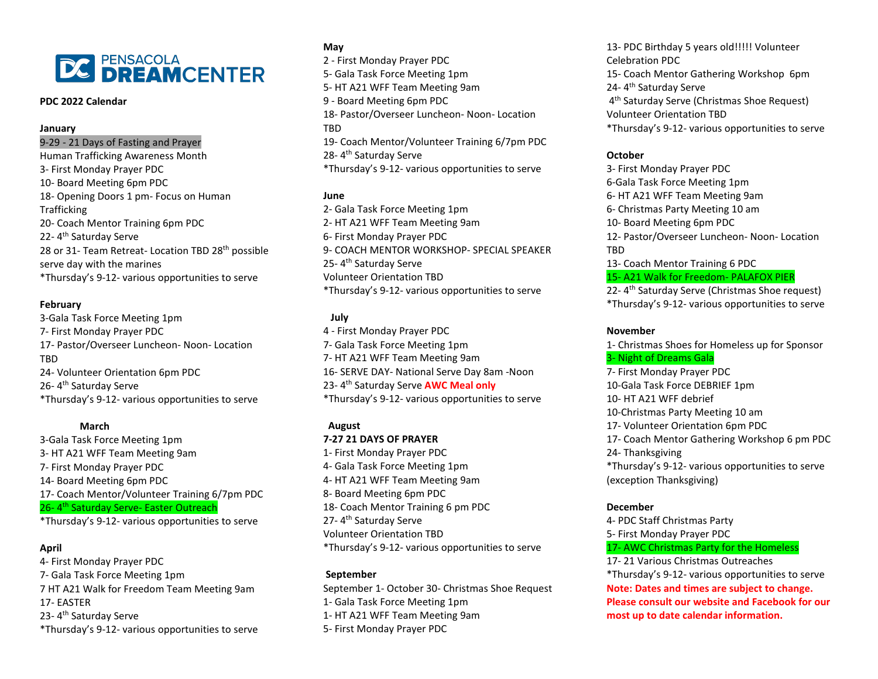

#### **PDC 2022 Calendar**

## **January**

## 9-29 - 21 Days of Fasting and Prayer

Human Trafficking Awareness Month 3- First Monday Prayer PDC 10- Board Meeting 6pm PDC 18- Opening Doors 1 pm- Focus on Human **Trafficking** 20- Coach Mentor Training 6pm PDC 22-4<sup>th</sup> Saturday Serve 28 or 31- Team Retreat- Location TBD 28<sup>th</sup> possible serve day with the marines \*Thursday's 9-12- various opportunities to serve

#### **February**

3-Gala Task Force Meeting 1pm 7- First Monday Prayer PDC 17- Pastor/Overseer Luncheon- Noon- Location TBD 24- Volunteer Orientation 6pm PDC 26-4<sup>th</sup> Saturday Serve \*Thursday's 9-12- various opportunities to serve

# **March**

3-Gala Task Force Meeting 1pm 3- HT A21 WFF Team Meeting 9am 7- First Monday Prayer PDC 14- Board Meeting 6pm PDC 17- Coach Mentor/Volunteer Training 6/7pm PDC 26-4<sup>th</sup> Saturday Serve- Easter Outreach \*Thursday's 9-12- various opportunities to serve

## **April**

4- First Monday Prayer PDC 7- Gala Task Force Meeting 1pm 7 HT A21 Walk for Freedom Team Meeting 9am 17- EASTER 23-4<sup>th</sup> Saturday Serve \*Thursday's 9-12- various opportunities to serve

# **May** 2 - First Monday Prayer PDC 5- Gala Task Force Meeting 1pm 5- HT A21 WFF Team Meeting 9am 9 - Board Meeting 6pm PDC 18- Pastor/Overseer Luncheon- Noon- Location TBD 19- Coach Mentor/Volunteer Training 6/7pm PDC 28- 4th Saturday Serve \*Thursday's 9-12- various opportunities to serve

# **June**

2- Gala Task Force Meeting 1pm 2- HT A21 WFF Team Meeting 9am 6- First Monday Prayer PDC 9- COACH MENTOR WORKSHOP- SPECIAL SPEAKER 25- 4th Saturday Serve Volunteer Orientation TBD \*Thursday's 9-12- various opportunities to serve

### **July**

4 - First Monday Prayer PDC 7- Gala Task Force Meeting 1pm 7- HT A21 WFF Team Meeting 9am 16- SERVE DAY- National Serve Day 8am -Noon 23- 4th Saturday Serve **AWC Meal only** \*Thursday's 9-12- various opportunities to serve

# **August**

# **7-27 21 DAYS OF PRAYER**

1- First Monday Prayer PDC 4- Gala Task Force Meeting 1pm 4- HT A21 WFF Team Meeting 9am 8- Board Meeting 6pm PDC 18- Coach Mentor Training 6 pm PDC 27-4<sup>th</sup> Saturday Serve Volunteer Orientation TBD \*Thursday's 9-12- various opportunities to serve

#### **September**

September 1- October 30- Christmas Shoe Request 1- Gala Task Force Meeting 1pm 1- HT A21 WFF Team Meeting 9am 5- First Monday Prayer PDC

13- PDC Birthday 5 years old!!!!! Volunteer Celebration PDC 15- Coach Mentor Gathering Workshop 6pm 24- 4th Saturday Serve 4<sup>th</sup> Saturday Serve (Christmas Shoe Request) Volunteer Orientation TBD \*Thursday's 9-12- various opportunities to serve

# **October**

3- First Monday Prayer PDC 6-Gala Task Force Meeting 1pm 6- HT A21 WFF Team Meeting 9am 6- Christmas Party Meeting 10 am 10- Board Meeting 6pm PDC 12- Pastor/Overseer Luncheon- Noon- Location TBD 13- Coach Mentor Training 6 PDC 15- A21 Walk for Freedom- PALAFOX PIER

22- 4<sup>th</sup> Saturday Serve (Christmas Shoe request) \*Thursday's 9-12- various opportunities to serve

# **November**

1- Christmas Shoes for Homeless up for Sponsor 3- Night of Dreams Gala 7- First Monday Prayer PDC 10-Gala Task Force DEBRIEF 1pm 10- HT A21 WFF debrief 10-Christmas Party Meeting 10 am 17- Volunteer Orientation 6pm PDC 17- Coach Mentor Gathering Workshop 6 pm PDC 24- Thanksgiving \*Thursday's 9-12- various opportunities to serve (exception Thanksgiving)

#### **December**

4- PDC Staff Christmas Party 5- First Monday Prayer PDC 17- AWC Christmas Party for the Homeless 17- 21 Various Christmas Outreaches \*Thursday's 9-12- various opportunities to serve **Note: Dates and times are subject to change. Please consult our website and Facebook for our most up to date calendar information.**